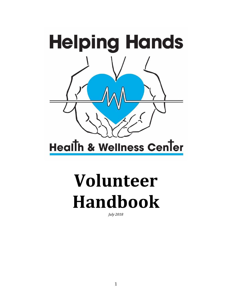

**Health & Wellness Center** 

# **Volunteer Handbook**

*July 2018*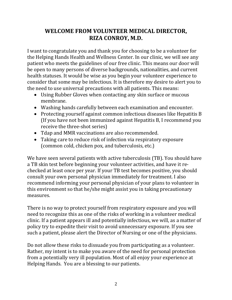# **WELCOME FROM VOLUNTEER MEDICAL DIRECTOR, RIZA CONROY, M.D.**

I want to congratulate you and thank you for choosing to be a volunteer for the Helping Hands Health and Wellness Center. In our clinic, we will see any patient who meets the guidelines of our free clinic. This means our door will be open to many persons of diverse backgrounds, nationalities, and current health statuses. It would be wise as you begin your volunteer experience to consider that some may be infectious. It is therefore my desire to alert you to the need to use universal precautions with all patients. This means:

- Using Rubber Gloves when contacting any skin surface or mucous membrane.
- Washing hands carefully between each examination and encounter.
- Protecting yourself against common infectious diseases like Hepatitis B (If you have not been immunized against Hepatitis B, I recommend you receive the three-shot series)
- Tdap and MMR vaccinations are also recommended.
- Taking care to reduce risk of infection via respiratory exposure (common cold, chicken pox, and tuberculosis, etc.)

We have seen several patients with active tuberculosis (TB). You should have a TB skin test before beginning your volunteer activities, and have it rechecked at least once per year. If your TB test becomes positive, you should consult your own personal physician immediately for treatment. I also recommend informing your personal physician of your plans to volunteer in this environment so that he/she might assist you in taking precautionary measures.

There is no way to protect yourself from respiratory exposure and you will need to recognize this as one of the risks of working in a volunteer medical clinic. If a patient appears ill and potentially infectious, we will, as a matter of policy try to expedite their visit to avoid unnecessary exposure. If you see such a patient, please alert the Director of Nursing or one of the physicians.

Do not allow these risks to dissuade you from participating as a volunteer. Rather, my intent is to make you aware of the need for personal protection from a potentially very ill population. Most of all enjoy your experience at Helping Hands. You are a blessing to our patients.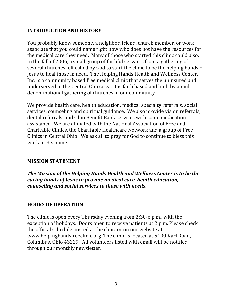## **INTRODUCTION AND HISTORY**

You probably know someone, a neighbor, friend, church member, or work associate that you could name right now who does not have the resources for the medical care they need. Many of those who started this clinic could also. In the fall of 2006, a small group of faithful servants from a gathering of several churches felt called by God to start the clinic to be the helping hands of Jesus to heal those in need. The Helping Hands Health and Wellness Center, Inc. is a community based free medical clinic that serves the uninsured and underserved in the Central Ohio area. It is faith based and built by a multidenominational gathering of churches in our community.

We provide health care, health education, medical specialty referrals, social services, counseling and spiritual guidance. We also provide vision referrals, dental referrals, and Ohio Benefit Bank services with some medication assistance. We are affiliated with the National Association of Free and Charitable Clinics, the Charitable Healthcare Network and a group of Free Clinics in Central Ohio. We ask all to pray for God to continue to bless this work in His name.

#### **MISSION STATEMENT**

*The Mission of the Helping Hands Health and Wellness Center is to be the caring hands of Jesus to provide medical care, health education, counseling and social services to those with needs***.**

# **HOURS OF OPERATION**

The clinic is open every Thursday evening from 2:30-6 p.m., with the exception of holidays. Doors open to receive patients at 2 p.m. Please check the official schedule posted at the clinic or on our website at www.helpinghandsfreeclinic.org. The clinic is located at 5100 Karl Road, Columbus, Ohio 43229. All volunteers listed with email will be notified through our monthly newsletter.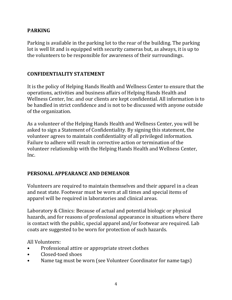# **PARKING**

Parking is available in the parking lot to the rear of the building. The parking lot is well lit and is equipped with security cameras but, as always, it is up to the volunteers to be responsible for awareness of their surroundings.

## **CONFIDENTIALITY STATEMENT**

It is the policy of Helping Hands Health and Wellness Center to ensure that the operations, activities and business affairs of Helping Hands Health and Wellness Center, Inc. and our clients are kept confidential. All information is to be handled in strict confidence and is not to be discussed with anyone outside of the organization.

As a volunteer of the Helping Hands Health and Wellness Center, you will be asked to sign a Statement of Confidentiality. By signing this statement, the volunteer agrees to maintain confidentiality of all privileged information. Failure to adhere will result in corrective action or termination of the volunteer relationship with the Helping Hands Health and Wellness Center, Inc.

# **PERSONAL APPEARANCE AND DEMEANOR**

Volunteers are required to maintain themselves and their apparel in a clean and neat state. Footwear must be worn at all times and special items of apparel will be required in laboratories and clinical areas.

Laboratory & Clinics: Because of actual and potential biologic or physical hazards, and for reasons of professional appearance in situations where there is contact with the public, special apparel and/or footwear are required. Lab coats are suggested to be worn for protection of such hazards.

All Volunteers:

- Professional attire or appropriate street clothes
- Closed-toed shoes
- Name tag must be worn (see Volunteer Coordinator for name tags)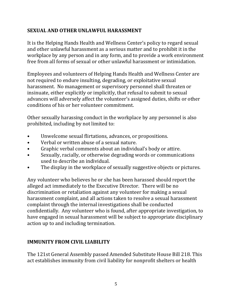# **SEXUAL AND OTHER UNLAWFUL HARASSMENT**

It is the Helping Hands Health and Wellness Center's policy to regard sexual and other unlawful harassment as a serious matter and to prohibit it in the workplace by any person and in any form, and to provide a work environment free from all forms of sexual or other unlawful harassment or intimidation.

Employees and volunteers of Helping Hands Health and Wellness Center are not required to endure insulting, degrading, or exploitative sexual harassment. No management or supervisory personnel shall threaten or insinuate, either explicitly or implicitly, that refusal to submit to sexual advances will adversely affect the volunteer's assigned duties, shifts or other conditions of his or her volunteer commitment.

Other sexually harassing conduct in the workplace by any personnel is also prohibited, including by not limited to:

- Unwelcome sexual flirtations, advances, or propositions.
- Verbal or written abuse of a sexual nature.
- Graphic verbal comments about an individual's body or attire.
- Sexually, racially, or otherwise degrading words or communications used to describe an individual.
- The display in the workplace of sexually suggestive objects or pictures.

Any volunteer who believes he or she has been harassed should report the alleged act immediately to the Executive Director. There will be no discrimination or retaliation against any volunteer for making a sexual harassment complaint, and all actions taken to resolve a sexual harassment complaint through the internal investigations shall be conducted confidentially. Any volunteer who is found, after appropriate investigation, to have engaged in sexual harassment will be subject to appropriate disciplinary action up to and including termination.

# **IMMUNITY FROM CIVIL LIABILITY**

The 121st General Assembly passed Amended Substitute House Bill 218. This act establishes immunity from civil liability for nonprofit shelters or health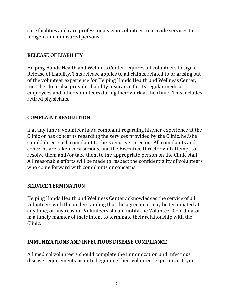care facilities and care professionals who volunteer to provide services to indigent and uninsured persons.

### **RELEASE OF LIABILITY**

Helping Hands Health and Wellness Center requires all volunteers to sign a Release of Liability. This release applies to all claims, related to or arising out of the volunteer experience for Helping Hands Health and Wellness Center, Inc. The clinic also provides liability insurance for its regular medical employees and other volunteers during their work at the clinic. This includes retired physicians.

# **COMPLAINT RESOLUTION**

If at any time a volunteer has a complaint regarding his/her experience at the Clinic or has concerns regarding the services provided by the Clinic, he/she should direct such complaint to the Executive Director. All complaints and concerns are taken very serious, and the Executive Director will attempt to resolve them and/or take them to the appropriate person on the Clinic staff. All reasonable efforts will be made to respect the confidentiality of volunteers who come forward with complaints or concerns.

# **SERVICE TERMINATION**

Helping Hands Health and Wellness Center acknowledges the service of all volunteers with the understanding that the agreement may be terminated at any time, or any reason. Volunteers should notify the Volunteer Coordinator in a timely manner of their intent to terminate their relationship with the Clinic.

# **IMMUNIZATIONS AND INFECTIOUS DISEASE COMPLIANCE**

All medical volunteers should complete the immunization and infectious disease requirements prior to beginning their volunteer experience. If you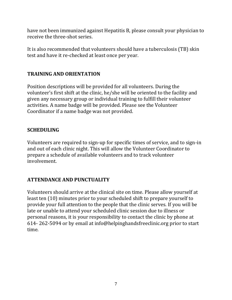have not been immunized against Hepatitis B, please consult your physician to receive the three-shot series.

It is also recommended that volunteers should have a tuberculosis (TB) skin test and have it re-checked at least once per year.

## **TRAINING AND ORIENTATION**

Position descriptions will be provided for all volunteers. During the volunteer's first shift at the clinic, he/she will be oriented to the facility and given any necessary group or individual training to fulfill their volunteer activities. A name badge will be provided. Please see the Volunteer Coordinator if a name badge was not provided.

## **SCHEDULING**

Volunteers are required to sign-up for specific times of service, and to sign-in and out of each clinic night. This will allow the Volunteer Coordinator to prepare a schedule of available volunteers and to track volunteer involvement.

# **ATTENDANCE AND PUNCTUALITY**

Volunteers should arrive at the clinical site on time. Please allow yourself at least ten (10) minutes prior to your scheduled shift to prepare yourself to provide your full attention to the people that the clinic serves. If you will be late or unable to attend your scheduled clinic session due to illness or personal reasons, it is your responsibility to contact the clinic by phone at 614- 262-5094 or by email at info@helpinghandsfreeclinic.org prior to start time.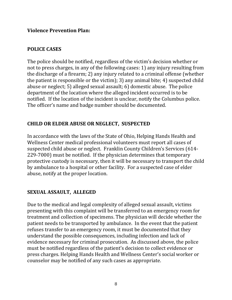#### **Violence Prevention Plan:**

### **POLICE CASES**

The police should be notified, regardless of the victim's decision whether or not to press charges, in any of the following cases: 1) any injury resulting from the discharge of a firearm; 2) any injury related to a criminal offense (whether the patient is responsible or the victim); 3) any animal bite; 4) suspected child abuse or neglect; 5) alleged sexual assault; 6) domestic abuse. The police department of the location where the alleged incident occurred is to be notified. If the location of the incident is unclear, notify the Columbus police. The officer's name and badge number should be documented.

## **CHILD OR ELDER ABUSE OR NEGLECT, SUSPECTED**

In accordance with the laws of the State of Ohio, Helping Hands Health and Wellness Center medical professional volunteers must report all cases of suspected child abuse or neglect. Franklin County Children's Services (614- 229-7000) must be notified. If the physician determines that temporary protective custody is necessary, then it will be necessary to transport the child by ambulance to a hospital or other facility. For a suspected case of elder abuse, notify at the proper location.

# **SEXUAL ASSAULT, ALLEGED**

Due to the medical and legal complexity of alleged sexual assault, victims presenting with this complaint will be transferred to an emergency room for treatment and collection of specimens. The physician will decide whether the patient needs to be transported by ambulance. In the event that the patient refuses transfer to an emergency room, it must be documented that they understand the possible consequences, including infection and lack of evidence necessary for criminal prosecution. As discussed above, the police must be notified regardless of the patient's decision to collect evidence or press charges. Helping Hands Health and Wellness Center's social worker or counselor may be notified of any such cases as appropriate.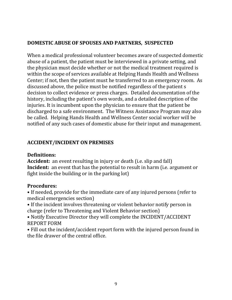## **DOMESTIC ABUSE OF SPOUSES AND PARTNERS, SUSPECTED**

When a medical professional volunteer becomes aware of suspected domestic abuse of a patient, the patient must be interviewed in a private setting, and the physician must decide whether or not the medical treatment required is within the scope of services available at Helping Hands Health and Wellness Center; if not, then the patient must he transferred to an emergency room. As discussed above, the police must be notified regardless of the patient s decision to collect evidence or press charges. Detailed documentation of the history, including the patient's own words, and a detailed description of the injuries. It is incumbent upon the physician to ensure that the patient be discharged to a safe environment. The Witness Assistance Program may also be called. Helping Hands Health and Wellness Center social worker will be notified of any such cases of domestic abuse for their input and management.

# **ACCIDENT/INCIDENT ON PREMISES**

#### **Definitions:**

**Accident:** an event resulting in injury or death (i.e. slip and fall) **Incident:** an event that has the potential to result in harm (i.e. argument or fight inside the building or in the parking lot)

# **Procedures:**

• If needed, provide for the immediate care of any injured persons (refer to medical emergencies section)

• If the incident involves threatening or violent behavior notify person in charge (refer to Threatening and Violent Behavior section)

• Notify Executive Director they will complete the INCIDENT/ACCIDENT REPORT FORM

• Fill out the incident/accident report form with the injured person found in the file drawer of the central office.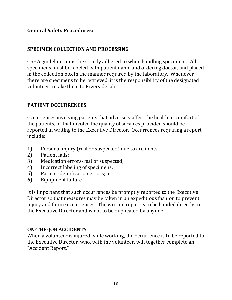## **General Safety Procedures:**

### **SPECIMEN COLLECTION AND PROCESSING**

OSHA guidelines must be strictly adhered to when handling specimens. All specimens must be labeled with patient name and ordering doctor, and placed in the collection box in the manner required by the laboratory. Whenever there are specimens to be retrieved, it is the responsibility of the designated volunteer to take them to Riverside lab.

#### **PATIENT OCCURRENCES**

Occurrences involving patients that adversely affect the health or comfort of the patients, or that involve the quality of services provided should be reported in writing to the Executive Director. Occurrences requiring a report include:

- 1) Personal injury (real or suspected) due to accidents;
- 2) Patient falls;
- 3) Medication errors-real or suspected;
- 4) Incorrect labeling of specimens;
- 5) Patient identification errors; or
- 6) Equipment failure.

It is important that such occurrences be promptly reported to the Executive Director so that measures may be taken in an expeditious fashion to prevent injury and future occurrences. The written report is to be handed directly to the Executive Director and is not to be duplicated by anyone.

#### **ON-THE-JOB ACCIDENTS**

When a volunteer is injured while working, the occurrence is to be reported to the Executive Director, who, with the volunteer, will together complete an "Accident Report."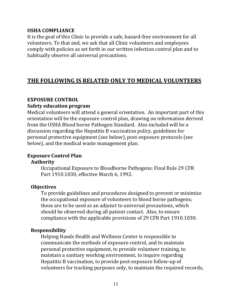#### **OSHA COMPLIANCE**

It is the goal of this Clinic to provide a safe, hazard-free environment for all volunteers. To that end, we ask that all Clinic volunteers and employees comply with policies as set forth in our written infection control plan and to habitually observe all universal precautions.

# **THE FOLLOWING IS RELATED ONLY TO MEDICAL VOLUNTEERS**

#### **EXPOSURE CONTROL**

#### **Safety education program**

Medical volunteers will attend a general orientation. An important part of this orientation will be the exposure control plan, drawing on information derived from the OSHA Blood borne Pathogen Standard. Also included will be a discussion regarding the Hepatitis B vaccination policy, guidelines for personal protective equipment (see below), post-exposure protocols (see below), and the medical waste management plan.

#### **Exposure Control Plan**

#### **Authority**

Occupational Exposure to Bloodborne Pathogens: Final Rule 29 CFR Part 1910.1030, effective March 6, 1992.

#### **Objectives**

To provide guidelines and procedures designed to prevent or minimize the occupational exposure of volunteers to blood borne pathogens; these are to be used as an adjunct to universal precautions, which should be observed during all patient contact. Also, to ensure compliance with the applicable provisions of 29 CFR Part 1910.1030.

#### **Responsibility**

Helping Hands Health and Wellness Center is responsible to communicate the methods of exposure control, and to maintain personal protective equipment, to provide volunteer training, to maintain a sanitary working environment, to inquire regarding Hepatitis B vaccination, to provide post-exposure follow-up of volunteers for tracking purposes only, to maintain the required records,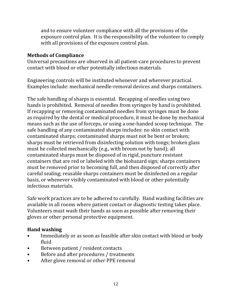and to ensure volunteer compliance with all the provisions of the exposure control plan. It is the responsibility of the volunteer to comply with all provisions of the exposure control plan.

### **Methods of Compliance**

Universal precautions are observed in all patient-care procedures to prevent contact with blood or other potentially infectious materials.

Engineering controls will be instituted whenever and wherever practical. Examples include: mechanical needle-removal devices and sharps containers.

The safe handling of sharps is essential. Recapping of needles using two hands is prohibited. Removal of needles from syringes by hand is prohibited. If recapping or removing contaminated needles from syringes must be done as required by the dental or medical procedure, it must be done by mechanical means such as the use of forceps, or using a one-handed scoop technique. The safe handling of any contaminated sharps includes: no skin contact with contaminated sharps; contaminated sharps must not be bent or broken; sharps must be retrieved from disinfecting solution with tongs; broken glass must he collected mechanically (e.g., with broom not by hand); all contaminated sharps must be disposed of in rigid, puncture resistant containers that are red or labeled with the biohazard sign; sharps containers must be removed prior to becoming full, and then disposed of correctly after careful sealing; reusable sharps containers must be disinfected on a regular basis, or whenever visibly contaminated with blood or other potentially infectious materials.

Safe work practices are to be adhered to carefully. Hand washing facilities are available in all rooms where patient contact or diagnostic testing takes place. Volunteers must wash their hands as soon as possible after removing their gloves or other personal protective equipment.

# **Hand washing**

- Immediately or as soon as feasible after skin contact with blood or body fluid
- Between patient / resident contacts
- Before and after procedures / treatments
- After glove removal or other PPE removal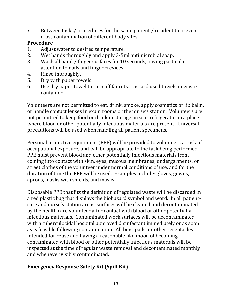• Between tasks/ procedures for the same patient / resident to prevent cross contamination of different body sites

#### **Procedure**

- 1. Adjust water to desired temperature.
- 2. Wet hands thoroughly and apply 3-5ml antimicrobial soap.
- 3. Wash all hand / finger surfaces for 10 seconds, paying particular attention to nails and finger crevices.
- 4. Rinse thoroughly.
- 5. Dry with paper towels.
- 6. Use dry paper towel to turn off faucets. Discard used towels in waste container.

Volunteers are not permitted to eat, drink, smoke, apply cosmetics or lip balm, or handle contact lenses in exam rooms or the nurse's station. Volunteers are not permitted to keep food or drink in storage area or refrigerator in a place where blood or other potentially infectious materials are present. Universal precautions will be used when handling all patient specimens.

Personal protective equipment (PPE) will be provided to volunteers at risk of occupational exposure, and will be appropriate to the task being performed. PPE must prevent blood and other potentially infectious materials from coming into contact with skin, eyes, mucous membranes, undergarments, or street clothes of the volunteer under normal conditions of use, and for the duration of time the PPE will be used. Examples include: gloves, gowns, aprons, masks with shields, and masks.

Disposable PPE that fits the definition of regulated waste will be discarded in a red plastic bag that displays the biohazard symbol and word. In all patientcare and nurse's station areas, surfaces will be cleaned and decontaminated by the health care volunteer after contact with blood or other potentially infectious materials. Contaminated work surfaces will be decontaminated with a tuberculocidal hospital approved disinfectant immediately or as soon as is feasible following contamination. All bins, pails, or other receptacles intended for reuse and having a reasonable likelihood of becoming contaminated with blood or other potentially infectious materials will be inspected at the time of regular waste removal and decontaminated monthly and whenever visibly contaminated.

# **Emergency Response Safety Kit (Spill Kit)**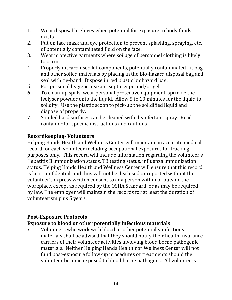- 1. Wear disposable gloves when potential for exposure to body fluids exists.
- 2. Put on face mask and eye protection to prevent splashing, spraying, etc. of potentially contaminated fluid on the face.
- 3. Wear protective garments where soilage of personnel clothing is likely to occur.
- 4. Properly discard used kit components, potentially contaminated kit bag and other soiled materials by placing in the Bio-hazard disposal bag and seal with tie-band. Dispose in red plastic biohazard bag.
- 5. For personal hygiene, use antiseptic wipe and/or gel.
- 6. To clean-up spills, wear personal protective equipment, sprinkle the Isolyser powder onto the liquid. Allow 5 to 10 minutes for the liquid to solidify. Use the plastic scoop to pick-up the solidified liquid and dispose of properly.
- 7. Spoiled hard surfaces can be cleaned with disinfectant spray. Read container for specific instructions and cautions.

# **Recordkeeping- Volunteers**

Helping Hands Health and Wellness Center will maintain an accurate medical record for each volunteer including occupational exposures for tracking purposes only. This record will include information regarding the volunteer's Hepatitis B immunization status, TB testing status, influenza immunization status. Helping Hands Health and Wellness Center will ensure that this record is kept confidential, and thus will not be disclosed or reported without the volunteer's express written consent to any person within or outside the workplace, except as required by the OSHA Standard, or as may be required by law. The employer will maintain the records for at least the duration of volunteerism plus 5 years.

# **Post-Exposure Protocols**

# **Exposure to blood or other potentially infectious materials**

• Volunteers who work with blood or other potentially infectious materials shall be advised that they should notify their health insurance carriers of their volunteer activities involving blood borne pathogenic materials. Neither Helping Hands Health nor Wellness Center will not fund post-exposure follow-up procedures or treatments should the volunteer become exposed to blood borne pathogens. All volunteers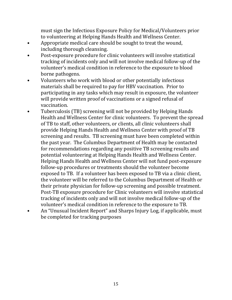must sign the Infectious Exposure Policy for Medical/Volunteers prior to volunteering at Helping Hands Health and Wellness Center.

- Appropriate medical care should be sought to treat the wound, including thorough cleansing.
- Post-exposure procedure for clinic volunteers will involve statistical tracking of incidents only and will not involve medical follow-up of the volunteer's medical condition in reference to the exposure to blood borne pathogens.
- Volunteers who work with blood or other potentially infectious materials shall be required to pay for HBV vaccination. Prior to participating in any tasks which may result in exposure, the volunteer will provide written proof of vaccinations or a signed refusal of vaccination.
- Tuberculosis (TB) screening will not be provided by Helping Hands Health and Wellness Center for clinic volunteers. To prevent the spread of TB to staff, other volunteers, or clients, all clinic volunteers shall provide Helping Hands Health and Wellness Center with proof of TB screening and results. TB screening must have been completed within the past year. The Columbus Department of Health may be contacted for recommendations regarding any positive TB screening results and potential volunteering at Helping Hands Health and Wellness Center. Helping Hands Health and Wellness Center will not fund post-exposure follow-up procedures or treatments should the volunteer become exposed to TB. If a volunteer has been exposed to TB via a clinic client, the volunteer will be referred to the Columbus Department of Health or their private physician for follow-up screening and possible treatment. Post-TB exposure procedure for Clinic volunteers will involve statistical tracking of incidents only and will not involve medical follow-up of the volunteer's medical condition in reference to the exposure to TB.
- An "Unusual Incident Report" and Sharps Injury Log, if applicable, must be completed for tracking purposes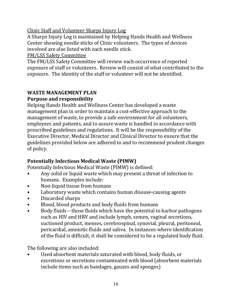Clinic Staff and Volunteer Sharps Injury Log

A Sharps Injury Log is maintained by Helping Hands Health and Wellness Center showing needle sticks of Clinic volunteers. The types of devices involved are also listed with each needle stick.

FM/LSS Safety Committee

The FM/LSS Safety Committee will review each occurrence of reported exposure of staff or volunteers. Review will consist of what contributed to the exposure. The identity of the staff or volunteer will not be identified.

# **WASTE MANAGEMENT PLAN Purpose and responsibility**

Helping Hands Health and Wellness Center has developed a waste management plan in order to maintain a cost-effective approach to the management of waste, to provide a safe environment for all volunteers, employees and patients, and to assure waste is handled in accordance with prescribed guidelines and regulations. It will be the responsibility of the Executive Director, Medical Director and Clinical Director to ensure that the guidelines provided below are adhered to and to recommend prudent changes of policy.

# **Potentially Infectious Medical Waste (PIMW)**

Potentially Infectious Medical Waste (PIMW) is defined:

- Any solid or liquid waste which may present a threat of infection to humans. Examples include:
- Non-liquid tissue from humans
- Laboratory waste which contains human disease-causing agents
- Discarded sharps
- Blood, blood products and body fluids from humans
- Body fluids those fluids which have the potential to harbor pathogens such as HIV and HBV and include lymph, semen, vaginal secretions, suctioned product, menses, cerebrospinal, synovial, pleural, peritoneal, pericardial, amniotic fluids and saliva. In instances where identification of the fluid is difficult, it shall be considered to be a regulated body fluid.

The following are also included:

• Used absorbent materials saturated with blood, body fluids, or excretions or secretions contaminated with blood (absorbent materials include items such as bandages, gauzes and sponges)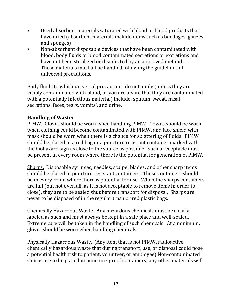- Used absorbent materials saturated with blood or blood products that have dried (absorbent materials include items such as bandages, gauzes and sponges)
- Non-absorbent disposable devices that have been contaminated with blood, body fluids or blood contaminated secretions or excretions and have not been sterilized or disinfected by an approved method. These materials must all be handled following the guidelines of universal precautions.

Body fluids to which universal precautions do not apply (unless they are visibly contaminated with blood, or you are aware that they are contaminated with a potentially infectious material) include: sputum, sweat, nasal secretions, feces, tears, vomits', and urine.

# **Handling of Waste:**

PIMW. Gloves should be worn when handling PIMW. Gowns should be worn when clothing could become contaminated with PIMW, and face shield with mask should be worn when there is a chance for splattering of fluids. PIMW should be placed in a red bag or a puncture resistant container marked with the biohazard sign as close to the source as possible. Such a receptacle must be present in every room where there is the potential for generation of PIMW.

Sharps. Disposable syringes, needles, scalpel blades, and other sharp items should be placed in puncture-resistant containers. These containers should be in every room where there is potential for use. When the sharps containers are full (but not overfull, as it is not acceptable to remove items in order to close), they are to be sealed shut before transport for disposal. Sharps are never to be disposed of in the regular trash or red plastic bags.

Chemically Hazardous Waste. Any hazardous chemicals must be clearly labeled as such and must always be kept in a safe place and well-sealed. Extreme care will be taken in the handling of such chemicals. At a minimum, gloves should be worn when handling chemicals.

Physically Hazardous Waste. (Any item that is not PIMW, radioactive, chemically hazardous waste that during transport, use, or disposal could pose a potential health risk to patient, volunteer, or employee) Non-contaminated sharps are to be placed in puncture-proof containers; any other materials will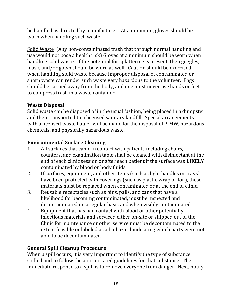be handled as directed by manufacturer. At a minimum, gloves should be worn when handling such waste.

Solid Waste (Any non-contaminated trash that through normal handling and use would not pose a health risk) Gloves at a minimum should be worn when handling solid waste. If the potential for splattering is present, then goggles, mask, and/or gown should be worn as well. Caution should be exercised when handling solid waste because improper disposal of contaminated or sharp waste can render such waste very hazardous to the volunteer. Bags should be carried away from the body, and one must never use hands or feet to compress trash in a waste container.

# **Waste Disposal**

Solid waste can be disposed of in the usual fashion, being placed in a dumpster and then transported to a licensed sanitary landfill. Special arrangements with a licensed waste hauler will be made for the disposal of PIMW, hazardous chemicals, and physically hazardous waste.

# **Environmental Surface Cleaning**

- 1. All surfaces that came in contact with patients including chairs, counters, and examination table shall be cleaned with disinfectant at the end of each clinic session or after each patient if the surface was **LIKELY** contaminated by blood or body fluids.
- 2. If surfaces, equipment, and other items (such as light handles or trays) have been protected with coverings (such as plastic wrap or foil), these materials must be replaced when contaminated or at the end of clinic.
- 3. Reusable receptacles such as bins, pails, and cans that have a likelihood for becoming contaminated, must be inspected and decontaminated on a regular basis and when visibly contaminated.
- 4. Equipment that has had contact with blood or other potentially infectious materials and serviced either on-site or shipped out of the Clinic for maintenance or other service must be decontaminated to the extent feasible or labeled as a biohazard indicating which parts were not able to be decontaminated.

# **General Spill Cleanup Procedure**

When a spill occurs, it is very important to identify the type of substance spilled and to follow the appropriated guidelines for that substance. The immediate response to a spill is to remove everyone from danger. Next, notify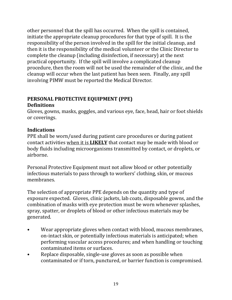other personnel that the spill has occurred. When the spill is contained, initiate the appropriate cleanup procedures for that type of spill. It is the responsibility of the person involved in the spill for the initial cleanup, and then it is the responsibility of the medical volunteer or the Clinic Director to complete the cleanup (including disinfection, if necessary) at the next practical opportunity. If the spill will involve a complicated cleanup procedure, then the room will not be used the remainder of the clinic, and the cleanup will occur when the last patient has been seen. Finally, any spill involving PIMW must be reported the Medical Director.

### **PERSONAL PROTECTIVE EQUIPMENT (PPE) Definitions**

Gloves, gowns, masks, goggles, and various eye, face, head, hair or foot shields or coverings.

# **Indications**

PPE shall be worn/used during patient care procedures or during patient contact activities when it is **LIKELY** that contact may be made with blood or body fluids including microorganisms transmitted by contact, or droplets, or airborne.

Personal Protective Equipment must not allow blood or other potentially infectious materials to pass through to workers' clothing, skin, or mucous membranes.

The selection of appropriate PPE depends on the quantity and type of exposure expected. Gloves, clinic jackets, lab coats, disposable gowns, and the combination of masks with eye protection must be worn whenever splashes, spray, spatter, or droplets of blood or other infectious materials may be generated.

- Wear appropriate gloves when contact with blood, mucous membranes, on-intact skin, or potentially infectious materials is anticipated; when performing vascular access procedures; and when handling or touching contaminated items or surfaces.
- Replace disposable, single-use gloves as soon as possible when contaminated or if torn, punctured, or barrier function is compromised.